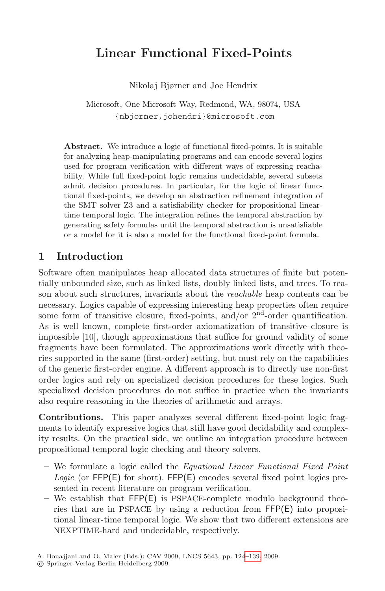# **Linear Functional Fixed-Points**

Nikolaj Bjørner and Joe Hendrix

Microsoft, One Microsoft Way, Redmond, WA, 98074, USA {nbjorner,johendri}@microsoft.com

**Abstract.** We introduce a logic of functional fixed-points. It is suitable for analyzing heap-manipulating programs and can encode several logics used for program verification with different ways of expressing reachability. While full fixed-point logic remains undecidable, several subsets admit decision procedures. In particular, for the logic of linear functional fixed-points, we develop an abstraction refinement integration of the SMT solver Z3 and a satisfiability checker for propositional lineartime temporal logic. The integration refines the temporal abstraction by generating safety formulas until the temporal abstraction is unsatisfiable or a model for it is also a model for the functional fixed-point formula.

## **1 Introduction**

Software often manipulates heap allocated data structures of finite but potentially unbounded size, such as linked lists, doubly linked lists, and trees. To reason about such structures, invariants about the reachable heap contents can be necessary. Logics capable of expressing interesting heap properties often require some form of transitive closure, fixed-points, and/or  $2<sup>nd</sup>$ -order quantification. As is well known, complete first-order axiomatization of transitive closure is impossible [10], though approximations that suffice for ground validity of some fragments have been formulated. The approximations work directly with theories supported in the same (first-order) setting, but must rely on the capabilities of the generic first-order engine. A different approach is to directly use non-first order logics and rely on specialized decision procedures for these logics. Such specialized decision procedures do not suffice in practice when the invariants also require reasoning in the theories of arithmetic and arrays.

**Contributions.** This paper analyzes several different fixed-point logic fragments to identify expressive logics that still have good decidability and complexity results. On the practical side, we outline an integration procedure between propositional temporal logic checking and theory solvers.

- **–** We formulate a logic called the Equational Linear Functional Fixed Point Logic (or  $\text{FFP}(E)$  for short).  $\text{FFP}(E)$  encodes several fixed point logics presented in recent literature on program verification.
- **–** We establish that FFP(E) is PSPACE-complete modulo background theories that are in PSPACE by using a reduction from FFP(E) into propositional linear-time temporal logic. We show that two different extensions are NEXPTIME-hard and undecidable, respectively.

A. Bouajjani and O. Maler (Eds.): CAV 2009, LNCS 5643, pp. 124– 139, 2009.

<sup>-</sup>c Springer-Verlag Berlin Heidelberg 2009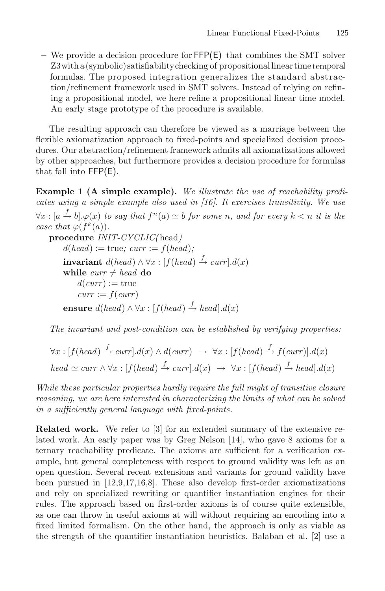**–** We provide a decision procedure for FFP(E) that combines the SMT solver Z3 with a (symbolic) satisfiability checking of propositional linear time temporal formulas. The proposed integration generalizes the standard abstraction/refinement framework used in SMT solvers. Instead of relying on refining a propositional model, we here refine a propositional linear time model. An early stage prototype of the procedure is available.

The resulting approach can therefore be viewed as a marriage between the flexible axiomatization approach to fixed-points and specialized decision procedures. Our abstraction/refinement framework admits all axiomatizations allowed by other approaches, but furthermore provides a decision procedure for formulas that fall into FFP(E).

**Example 1 (A simple example).** We illustrate the use of reachability predicates using a simple example also used in [16]. It exercises transitivity. We use  $\forall x:[a\stackrel{f}{\to}b]. \varphi(x)$  to say that  $f^n(a)\simeq b$  for some n, and for every  $k < n$  it is the case that  $\varphi(f^k(a))$ .

**procedure** INIT-CYCLIC( head)  $d(head) := \text{true}; \text{curr} := f(head);$  $\textbf{invariant}~~d(head) \wedge \forall x: [f(head) \overset{f}{\rightarrow} curr].d(x)$ **while**  $curr \neq head$  **do**  $d(curr) := true$  $curr := f(curr)$ **ensure**  $d(head) \wedge \forall x : [f(head) \xrightarrow{f} head].d(x)$ 

The invariant and post-condition can be established by verifying properties:

$$
\forall x : [f(head) \xrightarrow{f} curr].d(x) \land d(curr) \rightarrow \forall x : [f(head) \xrightarrow{f} f(curr)].d(x)
$$
  
head  $\simeq curr \land \forall x : [f(head) \xrightarrow{f} curr].d(x) \rightarrow \forall x : [f(head) \xrightarrow{f} head].d(x)$ 

While these particular properties hardly require the full might of transitive closure reasoning, we are here interested in characterizing the limits of what can be solved in a sufficiently general language with fixed-points.

**Related work.** We refer to [3] for an extended summary of the extensive related work. An early paper was by Greg Nelson [14], who gave 8 axioms for a ternary reachability predicate. The axioms are sufficient for a verification example, but general completeness with respect to ground validity was left as an open question. Several recent extensions and variants for ground validity have been pursued in [12,9,17,16,8]. These also develop first-order axiomatizations and rely on specialized rewriting or quantifier instantiation engines for their rules. The approach based on first-order axioms is of course quite extensible, as one can throw in useful axioms at will without requiring an encoding into a fixed limited formalism. On the other hand, the approach is only as viable as the strength of the quantifier instantiation heuristics. Balaban et al. [2] use a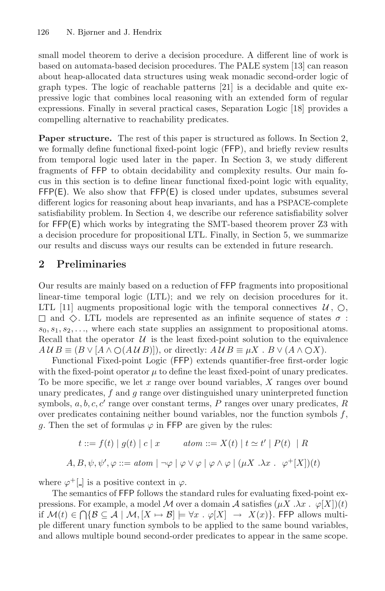small model theorem to derive a decision procedure. A different line of work is based on automata-based decision procedures. The PALE system [13] can reason about heap-allocated data structures using weak monadic second-order logic of graph types. The logic of reachable patterns [21] is a decidable and quite expressive logic that combines local reasoning with an extended form of regular expressions. Finally in several practical cases, Separation Logic [18] provides a compelling alternative to reachability predicates.

**Paper structure.** The rest of this paper is structured as follows. In Section 2, we formally define functional fixed-point logic (FFP), and briefly review results from temporal logic used later in the paper. In Section 3, we study different fragments of FFP to obtain decidability and complexity results. Our main focus in this section is to define linear functional fixed-point logic with equality,  $FFP(E)$ . We also show that  $FFP(E)$  is closed under updates, subsumes several different logics for reasoning about heap invariants, and has a PSPACE-complete satisfiability problem. In Section 4, we describe our reference satisfiability solver for FFP(E) which works by integrating the SMT-based theorem prover Z3 with a decision procedure for propositional LTL. Finally, in Section 5, we summarize our results and discuss ways our results can be extended in future research.

# **2 Preliminaries**

Our results are mainly based on a reduction of FFP fragments into propositional linear-time temporal logic (LTL); and we rely on decision procedures for it. LTL [11] augments propositional logic with the temporal connectives  $\mathcal{U}, \circlearrowright$ ,  $\Box$  and  $\Diamond$ . LTL models are represented as an infinite sequence of states  $\sigma$ :  $s_0, s_1, s_2, \ldots$ , where each state supplies an assignment to propositional atoms. Recall that the operator  $\mathcal U$  is the least fixed-point solution to the equivalence  $A \mathcal{U} B \equiv (B \vee [A \wedge \bigcirc (A \mathcal{U} B)])$ , or directly:  $A \mathcal{U} B \equiv \mu X \cdot B \vee (A \wedge \bigcirc X)$ .

Functional Fixed-point Logic (FFP) extends quantifier-free first-order logic with the fixed-point operator  $\mu$  to define the least fixed-point of unary predicates. To be more specific, we let  $x$  range over bound variables,  $X$  ranges over bound unary predicates, f and g range over distinguished unary uninterpreted function symbols,  $a, b, c, c'$  range over constant terms, P ranges over unary predicates, R over predicates containing neither bound variables, nor the function symbols  $f$ , q. Then the set of formulas  $\varphi$  in FFP are given by the rules:

$$
t ::= f(t) | g(t) | c | x \qquad atom ::= X(t) | t \simeq t' | P(t) | R
$$
  

$$
A, B, \psi, \psi', \varphi ::= atom | \neg \varphi | \varphi \vee \varphi | \varphi \wedge \varphi | (\mu X \cdot \lambda x \cdot \varphi^+ [X])(t)
$$

where  $\varphi^+$ [.] is a positive context in  $\varphi$ .

The semantics of FFP follows the standard rules for evaluating fixed-point expressions. For example, a model M over a domain A satisfies  $(\mu X \cdot \lambda x \cdot \varphi[X])(t)$ if  $\mathcal{M}(t) \in \bigcap \{ \mathcal{B} \subseteq \mathcal{A} \mid \mathcal{M}, [X \mapsto \mathcal{B}] \models \forall x \cdot \varphi[X] \rightarrow X(x) \}.$  FFP allows multiple different unary function symbols to be applied to the same bound variables, and allows multiple bound second-order predicates to appear in the same scope.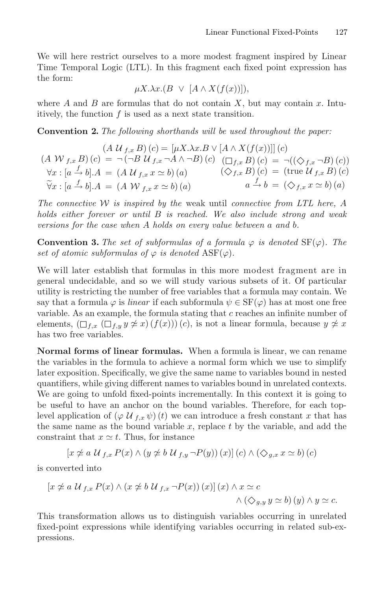We will here restrict ourselves to a more modest fragment inspired by Linear Time Temporal Logic (LTL). In this fragment each fixed point expression has the form:

$$
\mu X. \lambda x. (B \vee [A \wedge X(f(x))]),
$$

where A and B are formulas that do not contain X, but may contain x. Intuitively, the function  $f$  is used as a next state transition.

**Convention 2.** The following shorthands will be used throughout the paper:

$$
(A \ W_{f,x} B)(c) = [\mu X. \lambda x. B \lor [A \land X(f(x))]](c)
$$
  

$$
(A \ W_{f,x} B)(c) = \neg(\neg B \ U_{f,x} \neg A \land \neg B)(c) \quad (\Box_{f,x} B)(c) = \neg((\Diamond_{f,x} \neg B)(c))
$$
  

$$
\forall x : [a \xrightarrow{f} b].A = (A \ U_{f,x} x \simeq b)(a) \quad (\Diamond_{f,x} B)(c) = (\text{true } U_{f,x} B)(c)
$$
  

$$
\widetilde{\forall} x : [a \xrightarrow{f} b].A = (A \ W_{f,x} x \simeq b)(a) \quad a \xrightarrow{f} b = (\Diamond_{f,x} x \simeq b)(a)
$$

The connective  $\mathcal W$  is inspired by the weak until connective from LTL here, A holds either forever or until B is reached. We also include strong and weak versions for the case when A holds on every value between a and b.

**Convention 3.** The set of subformulas of a formula  $\varphi$  is denoted  $SF(\varphi)$ . The set of atomic subformulas of  $\varphi$  is denoted  $\text{ASF}(\varphi)$ .

We will later establish that formulas in this more modest fragment are in general undecidable, and so we will study various subsets of it. Of particular utility is restricting the number of free variables that a formula may contain. We say that a formula  $\varphi$  is *linear* if each subformula  $\psi \in \mathrm{SF}(\varphi)$  has at most one free variable. As an example, the formula stating that  $c$  reaches an infinite number of elements,  $(\Box_{f,x} (\Box_{f,y} y \nsubseteq x) (f(x)))(c)$ , is not a linear formula, because  $y \nsubseteq x$ has two free variables.

**Normal forms of linear formulas.** When a formula is linear, we can rename the variables in the formula to achieve a normal form which we use to simplify later exposition. Specifically, we give the same name to variables bound in nested quantifiers, while giving different names to variables bound in unrelated contexts. We are going to unfold fixed-points incrementally. In this context it is going to be useful to have an anchor on the bound variables. Therefore, for each toplevel application of  $(\varphi \mathcal{U}_{f,x} \psi)(t)$  we can introduce a fresh constant x that has the same name as the bound variable  $x$ , replace  $t$  by the variable, and add the constraint that  $x \simeq t$ . Thus, for instance

$$
[x \not\simeq a \mathcal{U}_{f,x} P(x) \wedge (y \not\simeq b \mathcal{U}_{f,y} \neg P(y)) (x)] (c) \wedge (\Diamond_{g,x} x \simeq b) (c)
$$

is converted into

$$
[x \not\simeq a \mathcal{U}_{f,x} P(x) \wedge (x \not\simeq b \mathcal{U}_{f,x} \neg P(x)) (x)] (x) \wedge x \simeq c
$$
  

$$
\wedge (\bigcirc_{g,y} y \simeq b) (y) \wedge y \simeq c.
$$

This transformation allows us to distinguish variables occurring in unrelated fixed-point expressions while identifying variables occurring in related sub-expressions.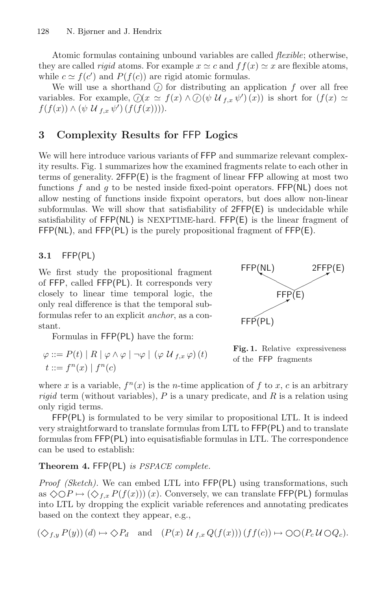Atomic formulas containing unbound variables are called flexible; otherwise, they are called *rigid* atoms. For example  $x \approx c$  and  $ff(x) \approx x$  are flexible atoms, while  $c \simeq f(c')$  and  $P(f(c))$  are rigid atomic formulas.

We will use a shorthand  $\odot$  for distributing an application f over all free variables. For example,  $\mathcal{D}(x \simeq f(x) \wedge \mathcal{D}(\psi \mathcal{U}_{f,x} \psi')(x))$  is short for  $(f(x) \simeq f(x))$  $f(f(x)) \wedge (\psi \mathcal{U}_{f,x} \psi') (f(f(x))))$ .

# **3 Complexity Results for** FFP **Logics**

We will here introduce various variants of FFP and summarize relevant complexity results. Fig. 1 summarizes how the examined fragments relate to each other in terms of generality. 2FFP(E) is the fragment of linear FFP allowing at most two functions f and g to be nested inside fixed-point operators. FFP( $NL$ ) does not allow nesting of functions inside fixpoint operators, but does allow non-linear subformulas. We will show that satisfiability of 2FFP(E) is undecidable while satisfiability of FFP(NL) is NEXPTIME-hard. FFP(E) is the linear fragment of FFP(NL), and FFP(PL) is the purely propositional fragment of FFP(E).

**3.1** FFP(PL)

We first study the propositional fragment of FFP, called FFP(PL). It corresponds very closely to linear time temporal logic, the only real difference is that the temporal subformulas refer to an explicit anchor, as a constant.

Formulas in FFP(PL) have the form:

$$
\varphi ::= P(t) | R | \varphi \land \varphi | \neg \varphi | (\varphi U_{f,x} \varphi) (t)
$$
  

$$
t ::= f^{n}(x) | f^{n}(c)
$$



**Fig. 1.** Relative expressiveness of the FFP fragments

where x is a variable,  $f^{n}(x)$  is the *n*-time application of f to x, c is an arbitrary rigid term (without variables),  $P$  is a unary predicate, and  $R$  is a relation using only rigid terms.

FFP(PL) is formulated to be very similar to propositional LTL. It is indeed very straightforward to translate formulas from LTL to FFP(PL) and to translate formulas from FFP(PL) into equisatisfiable formulas in LTL. The correspondence can be used to establish:

### **Theorem 4.** FFP(PL) is PSPACE complete.

Proof (Sketch). We can embed LTL into FFP(PL) using transformations, such as  $\Diamond \bigcirc P \mapsto (\Diamond_{f,x} P(f(x))) (x)$ . Conversely, we can translate FFP(PL) formulas into LTL by dropping the explicit variable references and annotating predicates based on the context they appear, e.g.,

$$
(\diamondsuit_{f,y} P(y))(d) \mapsto \diamondsuit P_d \quad \text{and} \quad (P(x) \mathcal{U}_{f,x} Q(f(x))) (ff(c)) \mapsto \bigcirc \bigcirc (P_c \mathcal{U} \bigcirc Q_c).
$$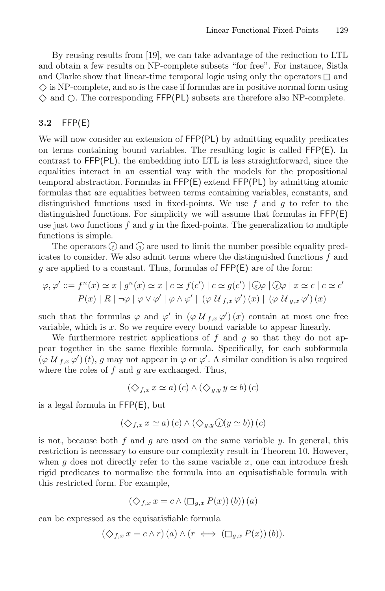By reusing results from [19], we can take advantage of the reduction to LTL and obtain a few results on NP-complete subsets "for free". For instance, Sistla and Clarke show that linear-time temporal logic using only the operators  $\square$  and  $\Diamond$  is NP-complete, and so is the case if formulas are in positive normal form using  $\Diamond$  and  $\Diamond$ . The corresponding FFP(PL) subsets are therefore also NP-complete.

### **3.2** FFP(E)

We will now consider an extension of  $\mathsf{FFP}(\mathsf{PL})$  by admitting equality predicates on terms containing bound variables. The resulting logic is called FFP(E). In contrast to FFP(PL), the embedding into LTL is less straightforward, since the equalities interact in an essential way with the models for the propositional temporal abstraction. Formulas in FFP(E) extend FFP(PL) by admitting atomic formulas that are equalities between terms containing variables, constants, and distinguished functions used in fixed-points. We use  $f$  and  $g$  to refer to the distinguished functions. For simplicity we will assume that formulas in FFP(E) use just two functions  $f$  and  $g$  in the fixed-points. The generalization to multiple functions is simple.

The operators  $\mathcal{G}$  and  $\mathcal{G}$  are used to limit the number possible equality predicates to consider. We also admit terms where the distinguished functions  $f$  and g are applied to a constant. Thus, formulas of  $\mathsf{FFP}(\mathsf{E})$  are of the form:

$$
\varphi, \varphi' ::= f^{n}(x) \simeq x \mid g^{n}(x) \simeq x \mid c \simeq f(c') \mid c \simeq g(c') \mid \text{or} \mid (\text{or} \mid x \simeq c \mid c \simeq c'
$$
  
 
$$
\mid P(x) \mid R \mid \text{or} \mid \varphi \vee \varphi' \mid \varphi \wedge \varphi' \mid (\varphi \cup f_{x} \varphi') (x) \mid (\varphi \cup f_{y} \varphi \varphi') (x)
$$

such that the formulas  $\varphi$  and  $\varphi'$  in  $(\varphi \mathcal{U}_{f,x} \varphi')$  (x) contain at most one free variable, which is x. So we require every bound variable to appear linearly.

We furthermore restrict applications of  $f$  and  $g$  so that they do not appear together in the same flexible formula. Specifically, for each subformula  $(\varphi \mathcal{U}_{f,x} \varphi)(t)$ , g may not appear in  $\varphi$  or  $\varphi'$ . A similar condition is also required where the roles of  $f$  and  $g$  are exchanged. Thus,

$$
(\diamondsuit_{f,x} x \simeq a) (c) \wedge (\diamondsuit_{g,y} y \simeq b) (c)
$$

is a legal formula in FFP(E), but

$$
(\diamondsuit_{f,x} x \simeq a) (c) \wedge (\diamondsuit_{g,y} \mathcal{G}(y \simeq b)) (c)
$$

is not, because both  $f$  and  $g$  are used on the same variable  $y$ . In general, this restriction is necessary to ensure our complexity result in Theorem 10. However, when  $q$  does not directly refer to the same variable  $x$ , one can introduce fresh rigid predicates to normalize the formula into an equisatisfiable formula with this restricted form. For example,

$$
\left(\diamondsuit_{f,x} x = c \wedge (\Box_{g,x} P(x)) (b)\right)(a)
$$

can be expressed as the equisatisfiable formula

$$
(\diamondsuit_{f,x} x = c \wedge r) (a) \wedge (r \iff (\Box_{g,x} P(x)) (b)).
$$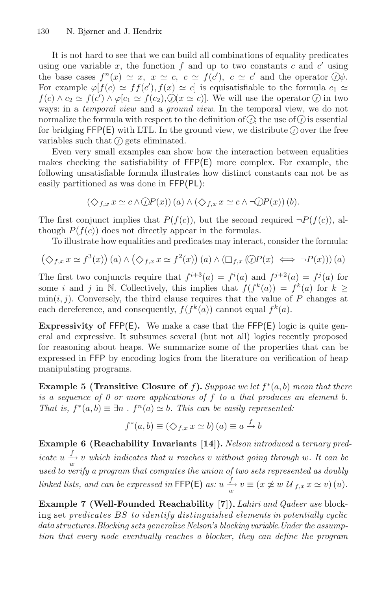It is not hard to see that we can build all combinations of equality predicates using one variable x, the function  $f$  and up to two constants  $c$  and  $c'$  using the base cases  $f^{n}(x) \simeq x, x \simeq c, c \simeq f(c'), c \simeq c'$  and the operator  $\bigcirc \psi$ . For example  $\varphi[f(c) \simeq ff(c'), f(x) \simeq c]$  is equisatisfiable to the formula  $c_1 \simeq c_2$  $f(c) \wedge c_2 \simeq f(c') \wedge \varphi[c_1 \simeq f(c_2), \mathcal{D}(x \simeq c)]$ . We will use the operator  $\mathcal{D}$  in two ways: in a *temporal view* and a *ground view*. In the temporal view, we do not normalize the formula with respect to the definition of  $\mathcal{F}$ , the use of  $\mathcal{F}$  is essential for bridging  $\mathsf{FFP}(\mathsf{E})$  with LTL. In the ground view, we distribute  $\mathcal O$  over the free variables such that  $\widehat{f}$  gets eliminated.

Even very small examples can show how the interaction between equalities makes checking the satisfiability of FFP(E) more complex. For example, the following unsatisfiable formula illustrates how distinct constants can not be as easily partitioned as was done in FFP(PL):

$$
\left(\diamondsuit_{f,x} x \simeq c \land \textcircled{f} P(x)\right)(a) \land \left(\diamondsuit_{f,x} x \simeq c \land \neg \textcircled{f} P(x)\right)(b).
$$

The first conjunct implies that  $P(f(c))$ , but the second required  $\neg P(f(c))$ , although  $P(f(c))$  does not directly appear in the formulas.

To illustrate how equalities and predicates may interact, consider the formula:

$$
(\diamondsuit_{f,x} x \simeq f^3(x)) (a) \wedge (\diamondsuit_{f,x} x \simeq f^2(x)) (a) \wedge (\Box_{f,x} (\mathcal{Q}P(x) \iff \neg P(x))) (a)
$$

The first two conjuncts require that  $f^{i+3}(a) = f^i(a)$  and  $f^{j+2}(a) = f^j(a)$  for some i and j in N. Collectively, this implies that  $f(f^k(a)) = f^k(a)$  for  $k \geq$  $min(i, j)$ . Conversely, the third clause requires that the value of P changes at each dereference, and consequently,  $f(f^k(a))$  cannot equal  $f^k(a)$ .

**Expressivity of** FFP(E)**.** We make a case that the FFP(E) logic is quite general and expressive. It subsumes several (but not all) logics recently proposed for reasoning about heaps. We summarize some of the properties that can be expressed in FFP by encoding logics from the literature on verification of heap manipulating programs.

**Example 5 (Transitive Closure of f).** Suppose we let  $f^*(a, b)$  mean that there is a sequence of  $\theta$  or more applications of  $f$  to a that produces an element  $b$ . That is,  $f^*(a, b) \equiv \exists n \, . \, f^n(a) \simeq b$ . This can be easily represented:

$$
f^*(a, b) \equiv (\diamondsuit_{f,x} x \simeq b) (a) \equiv a \stackrel{f}{\rightarrow} b
$$

**Example 6 (Reachability Invariants [14]).** Nelson introduced a ternary predicate  $u \frac{f}{w}$  v which indicates that u reaches v without going through w. It can be used to verify a program that computes the union of two sets represented as doubly linked lists, and can be expressed in  $\text{FFP(E)}$  as:  $u \xrightarrow[w]{f} v \equiv (x \not\cong w \cup Y_{f,x} x \simeq v)(u)$ .

**Example 7 (Well-Founded Reachability [7]).** Lahiri and Qadeer use blocking set predicates BS to identify distinguished elements in potentially cyclic data structures. Blocking sets generalize Nelson's blocking variable. Under the assumption that every node eventually reaches a blocker, they can define the program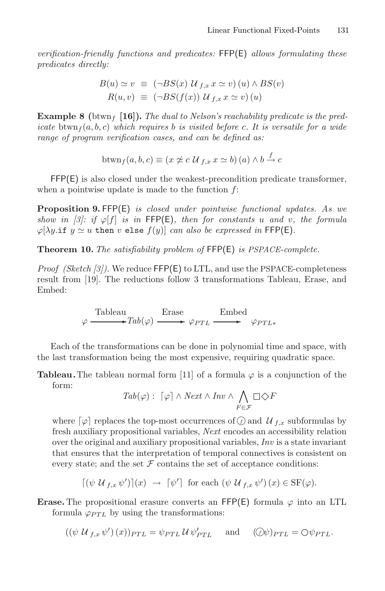verification-friendly functions and predicates: FFP(E) allows formulating these predicates directly:

$$
B(u) \simeq v \equiv (\neg BS(x) \mathcal{U}_{f,x} x \simeq v) (u) \wedge BS(v)
$$
  

$$
R(u, v) \equiv (\neg BS(f(x)) \mathcal{U}_{f,x} x \simeq v) (u)
$$

**Example 8** (btwn<sub>f</sub> [16]). The dual to Nelson's reachability predicate is the predicate btwn<sub>f</sub>(a, b, c) which requires b is visited before c. It is versatile for a wide range of program verification cases, and can be defined as:

$$
btwnf(a, b, c) \equiv (x \not\cong c \mathcal{U}_{f,x} x \simeq b) (a) \wedge b \xrightarrow{J} c
$$

FFP(E) is also closed under the weakest-precondition predicate transformer, when a pointwise update is made to the function  $f$ :

**Proposition 9. FFP(E)** is closed under pointwise functional updates. As we show in [3]: if  $\varphi[f]$  is in FFP(E), then for constants u and v, the formula  $\varphi[\lambda y$ .if  $y \simeq u$  then v else  $f(y)$  can also be expressed in FFP(E).

**Theorem 10.** The satisfiability problem of FFP(E) is PSPACE-complete.

*Proof (Sketch [3])*. We reduce  $\mathsf{FFP(E)}$  to LTL, and use the PSPACE-completeness result from [19]. The reductions follow 3 transformations Tableau, Erase, and Embed:

 $\varphi \longrightarrow Tab(\varphi) \longrightarrow \varphi_{PTL} \longrightarrow \varphi_{PTL} \longrightarrow \varphi_{PTL}$ 

Each of the transformations can be done in polynomial time and space, with the last transformation being the most expensive, requiring quadratic space.

**Tableau**. The tableau normal form [11] of a formula  $\varphi$  is a conjunction of the form:

$$
Tab(\varphi): \ [\varphi] \wedge Next \wedge Inv \wedge \bigwedge_{F \in \mathcal{F}} \Box \Diamond F
$$

where  $\lceil \varphi \rceil$  replaces the top-most occurrences of  $\bigcirc$  and  $\mathcal{U}_{f,x}$  subformulas by fresh auxiliary propositional variables, Next encodes an accessibility relation over the original and auxiliary propositional variables,  $Inv$  is a state invariant that ensures that the interpretation of temporal connectives is consistent on every state; and the set  $\mathcal F$  contains the set of acceptance conditions:

$$
[(\psi \mathcal{U}_{f,x} \psi')] (x) \rightarrow [\psi'] \text{ for each } (\psi \mathcal{U}_{f,x} \psi') (x) \in \text{SF}(\varphi).
$$

**Erase.** The propositional erasure converts an  $\mathsf{FFP(E)}$  formula  $\varphi$  into an LTL formula  $\varphi_{PTL}$  by using the transformations:

$$
((\psi \mathcal{U}_{f,x} \psi')(x))_{PTL} = \psi_{PTL} \mathcal{U} \psi'_{PTL} \quad \text{and} \quad (\mathcal{D}\psi)_{PTL} = \bigcirc \psi_{PTL}.
$$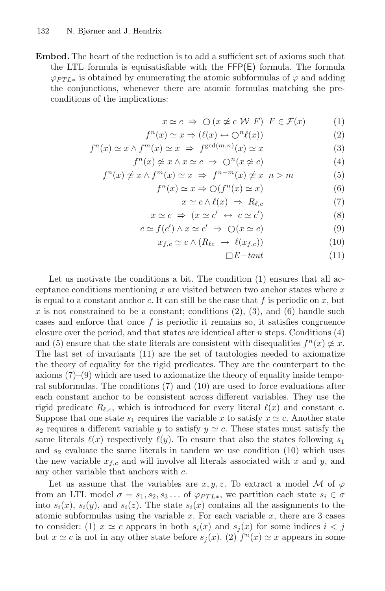**Embed.** The heart of the reduction is to add a sufficient set of axioms such that the LTL formula is equisatisfiable with the FFP(E) formula. The formula  $\varphi_{PTL*}$  is obtained by enumerating the atomic subformulas of  $\varphi$  and adding the conjunctions, whenever there are atomic formulas matching the preconditions of the implications:

$$
x \simeq c \Rightarrow \bigcirc (x \not\cong c \mathcal{W} F) \ F \in \mathcal{F}(x) \tag{1}
$$

$$
f^{n}(x) \simeq x \Rightarrow (\ell(x) \leftrightarrow \bigcirc^{n}\ell(x))
$$
\n(2)

$$
f^{n}(x) \simeq x \wedge f^{m}(x) \simeq x \Rightarrow f^{\gcd(m,n)}(x) \simeq x \tag{3}
$$

$$
f^{n}(x) \not\simeq x \wedge x \simeq c \Rightarrow \bigcirc^{n}(x \not\simeq c)
$$
 (4)

$$
f^{n}(x) \not\simeq x \wedge f^{m}(x) \simeq x \Rightarrow f^{n-m}(x) \not\simeq x \quad n > m \tag{5}
$$

$$
f^{n}(x) \simeq x \Rightarrow \bigcirc (f^{n}(x) \simeq x)
$$
\n(6)

 $x \simeq c \wedge \ell(x) \Rightarrow R_{\ell,c}$  $(7)$ 

$$
x \simeq c \Rightarrow (x \simeq c' \leftrightarrow c \simeq c') \tag{8}
$$

$$
c \simeq f(c') \wedge x \simeq c' \Rightarrow \bigcirc (x \simeq c) \tag{9}
$$

$$
x_{f,c} \simeq c \wedge (R_{\ell c} \to \ell(x_{f,c})) \tag{10}
$$

$$
\Box E - taut \tag{11}
$$

Let us motivate the conditions a bit. The condition  $(1)$  ensures that all acceptance conditions mentioning  $x$  are visited between two anchor states where  $x$ is equal to a constant anchor c. It can still be the case that  $f$  is periodic on  $x$ , but x is not constrained to be a constant; conditions  $(2)$ ,  $(3)$ , and  $(6)$  handle such cases and enforce that once  $f$  is periodic it remains so, it satisfies congruence closure over the period, and that states are identical after  $n$  steps. Conditions  $(4)$ and (5) ensure that the state literals are consistent with disequalities  $f^{n}(x) \not\cong x$ . The last set of invariants (11) are the set of tautologies needed to axiomatize the theory of equality for the rigid predicates. They are the counterpart to the axioms  $(7)-(9)$  which are used to axiomatize the theory of equality inside temporal subformulas. The conditions (7) and (10) are used to force evaluations after each constant anchor to be consistent across different variables. They use the rigid predicate  $R_{\ell,c}$ , which is introduced for every literal  $\ell(x)$  and constant c. Suppose that one state  $s_1$  requires the variable x to satisfy  $x \simeq c$ . Another state  $s_2$  requires a different variable y to satisfy  $y \simeq c$ . These states must satisfy the same literals  $\ell(x)$  respectively  $\ell(y)$ . To ensure that also the states following  $s_1$ and  $s_2$  evaluate the same literals in tandem we use condition  $(10)$  which uses the new variable  $x_{f,c}$  and will involve all literals associated with x and y, and any other variable that anchors with c.

Let us assume that the variables are  $x, y, z$ . To extract a model M of  $\varphi$ from an LTL model  $\sigma = s_1, s_2, s_3 \dots$  of  $\varphi_{PTL*}$ , we partition each state  $s_i \in \sigma$ into  $s_i(x)$ ,  $s_i(y)$ , and  $s_i(z)$ . The state  $s_i(x)$  contains all the assignments to the atomic subformulas using the variable  $x$ . For each variable  $x$ , there are 3 cases to consider: (1)  $x \simeq c$  appears in both  $s_i(x)$  and  $s_j(x)$  for some indices  $i < j$ but  $x \simeq c$  is not in any other state before  $s_i(x)$ . (2)  $f^{(n)}(x) \simeq x$  appears in some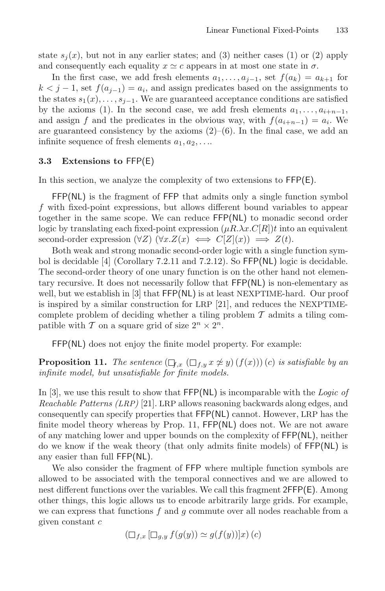state  $s_i(x)$ , but not in any earlier states; and (3) neither cases (1) or (2) apply and consequently each equality  $x \simeq c$  appears in at most one state in  $\sigma$ .

In the first case, we add fresh elements  $a_1, \ldots, a_{i-1}$ , set  $f(a_k) = a_{k+1}$  for  $k < j - 1$ , set  $f(a_{i-1}) = a_i$ , and assign predicates based on the assignments to the states  $s_1(x),\ldots,s_{i-1}$ . We are guaranteed acceptance conditions are satisfied by the axioms (1). In the second case, we add fresh elements  $a_1, \ldots, a_{i+n-1}$ , and assign f and the predicates in the obvious way, with  $f(a_{i+n-1}) = a_i$ . We are guaranteed consistency by the axioms  $(2)$ – $(6)$ . In the final case, we add an infinite sequence of fresh elements  $a_1, a_2, \ldots$ 

#### **3.3 Extensions to** FFP(E)

In this section, we analyze the complexity of two extensions to FFP(E).

FFP(NL) is the fragment of FFP that admits only a single function symbol f with fixed-point expressions, but allows different bound variables to appear together in the same scope. We can reduce FFP(NL) to monadic second order logic by translating each fixed-point expression  $(\mu R.\lambda x.C[R])t$  into an equivalent second-order expression  $(\forall Z)$   $(\forall x.Z(x) \iff C[Z](x)) \implies Z(t)$ .

Both weak and strong monadic second-order logic with a single function symbol is decidable [4] (Corollary 7.2.11 and 7.2.12). So FFP(NL) logic is decidable. The second-order theory of one unary function is on the other hand not elementary recursive. It does not necessarily follow that FFP(NL) is non-elementary as well, but we establish in [3] that FFP(NL) is at least NEXPTIME-hard. Our proof is inspired by a similar construction for LRP [21], and reduces the NEXPTIMEcomplete problem of deciding whether a tiling problem  $\mathcal T$  admits a tiling compatible with T on a square grid of size  $2^n \times 2^n$ .

FFP(NL) does not enjoy the finite model property. For example:

**Proposition 11.** The sentence  $(\Box_{f,x} (\Box_{f,y} x \not\simeq y) (f(x)))$  (c) is satisfiable by an infinite model, but unsatisfiable for finite models.

In [3], we use this result to show that  $\mathsf{FFP}(\mathsf{NL})$  is incomparable with the Logic of Reachable Patterns (LRP) [21]. LRP allows reasoning backwards along edges, and consequently can specify properties that FFP(NL) cannot. However, LRP has the finite model theory whereas by Prop. 11,  $\mathsf{FFP}(\mathsf{NL})$  does not. We are not aware of any matching lower and upper bounds on the complexity of FFP(NL), neither do we know if the weak theory (that only admits finite models) of FFP(NL) is any easier than full FFP(NL).

We also consider the fragment of FFP where multiple function symbols are allowed to be associated with the temporal connectives and we are allowed to nest different functions over the variables. We call this fragment 2FFP(E). Among other things, this logic allows us to encode arbitrarily large grids. For example, we can express that functions  $f$  and  $g$  commute over all nodes reachable from a given constant c

$$
\left(\Box_{f,x}\left[\Box_{g,y}f(g(y))\simeq g(f(y))\right]x\right)(c)
$$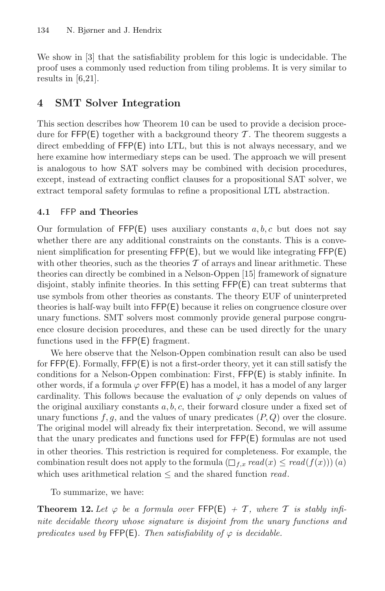We show in [3] that the satisfiability problem for this logic is undecidable. The proof uses a commonly used reduction from tiling problems. It is very similar to results in [6,21].

# **4 SMT Solver Integration**

This section describes how Theorem 10 can be used to provide a decision procedure for  $\mathsf{FFP}(\mathsf{E})$  together with a background theory T. The theorem suggests a direct embedding of FFP(E) into LTL, but this is not always necessary, and we here examine how intermediary steps can be used. The approach we will present is analogous to how SAT solvers may be combined with decision procedures, except, instead of extracting conflict clauses for a propositional SAT solver, we extract temporal safety formulas to refine a propositional LTL abstraction.

## **4.1** FFP **and Theories**

Our formulation of  $\mathsf{FFP}(\mathsf{E})$  uses auxiliary constants  $a, b, c$  but does not say whether there are any additional constraints on the constants. This is a convenient simplification for presenting  $\mathsf{FP}(\mathsf{E})$ , but we would like integrating  $\mathsf{FP}(\mathsf{E})$ with other theories, such as the theories  $\mathcal T$  of arrays and linear arithmetic. These theories can directly be combined in a Nelson-Oppen [15] framework of signature disjoint, stably infinite theories. In this setting FFP(E) can treat subterms that use symbols from other theories as constants. The theory EUF of uninterpreted theories is half-way built into FFP(E) because it relies on congruence closure over unary functions. SMT solvers most commonly provide general purpose congruence closure decision procedures, and these can be used directly for the unary functions used in the FFP(E) fragment.

We here observe that the Nelson-Oppen combination result can also be used for  $\mathsf{FFP(E)}$ . Formally,  $\mathsf{FFP(E)}$  is not a first-order theory, yet it can still satisfy the conditions for a Nelson-Oppen combination: First, FFP(E) is stably infinite. In other words, if a formula  $\varphi$  over FFP(E) has a model, it has a model of any larger cardinality. This follows because the evaluation of  $\varphi$  only depends on values of the original auxiliary constants  $a, b, c$ , their forward closure under a fixed set of unary functions  $f, g$ , and the values of unary predicates  $(P, Q)$  over the closure. The original model will already fix their interpretation. Second, we will assume that the unary predicates and functions used for FFP(E) formulas are not used in other theories. This restriction is required for completeness. For example, the combination result does not apply to the formula  $(\Box_{f,x} \text{read}(x) \leq \text{read}(f(x)))$  (a) which uses arithmetical relation  $\leq$  and the shared function read.

To summarize, we have:

**Theorem 12.** Let  $\varphi$  be a formula over FFP(E) + T, where T is stably infinite decidable theory whose signature is disjoint from the unary functions and predicates used by  $\mathsf{FFP}(\mathsf{E})$ . Then satisfiability of  $\varphi$  is decidable.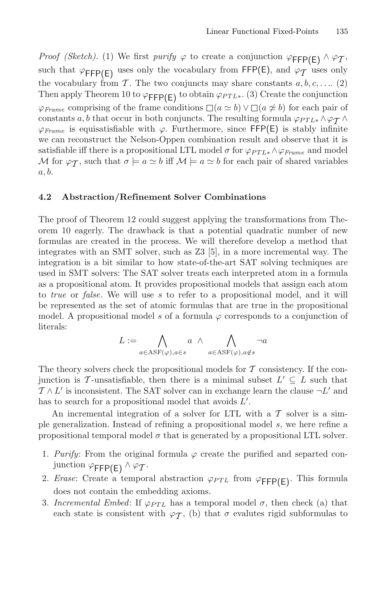*Proof (Sketch).* (1) We first *purify*  $\varphi$  to create a conjunction  $\varphi$ <sub>FFP(E)</sub>  $\wedge \varphi_T$ , such that  $\varphi_{\text{FFP}(F)}$  uses only the vocabulary from FFP(E), and  $\varphi_{\mathcal{T}}$  uses only the vocabulary from T. The two conjuncts may share constants  $a, b, c, \ldots$  (2) Then apply Theorem 10 to  $\varphi_{\sf FFP(E)}$  to obtain  $\varphi_{PTL*}$ . (3) Create the conjunction  $\varphi_{Frame}$  comprising of the frame conditions  $\Box(a \simeq b) \vee \Box(a \not\simeq b)$  for each pair of constants a, b that occur in both conjuncts. The resulting formula  $\varphi_{PTL*} \wedge \varphi_{\tau} \wedge$  $\varphi_{Frame}$  is equisatisfiable with  $\varphi$ . Furthermore, since FFP(E) is stably infinite we can reconstruct the Nelson-Oppen combination result and observe that it is satisfiable iff there is a propositional LTL model  $\sigma$  for  $\varphi_{PTL*} \wedge \varphi_{Frame}$  and model M for  $\varphi_{\mathcal{T}}$ , such that  $\sigma \models a \simeq b$  iff  $\mathcal{M} \models a \simeq b$  for each pair of shared variables a, b.

### 4.2 Abstraction/Refinement Solver Combinations

The proof of Theorem 12 could suggest applying the transformations from Theorem 10 eagerly. The drawback is that a potential quadratic number of new formulas are created in the process. We will therefore develop a method that integrates with an SMT solver, such as Z3 [5], in a more incremental way. The integration is a bit similar to how state-of-the-art SAT solving techniques are used in SMT solvers: The SAT solver treats each interpreted atom in a formula as a propositional atom. It provides propositional models that assign each atom to true or false. We will use s to refer to a propositional model, and it will be represented as the set of atomic formulas that are true in the propositional model. A propositional model s of a formula  $\varphi$  corresponds to a conjunction of literals:

$$
L := \bigwedge_{a \in \text{ASF}(\varphi), a \in s} a \land \bigwedge_{a \in \text{ASF}(\varphi), a \notin s} \neg a
$$

The theory solvers check the propositional models for  $\mathcal T$  consistency. If the conjunction is T-unsatisfiable, then there is a minimal subset  $L' \subseteq L$  such that  $\mathcal{T} \wedge L'$  is inconsistent. The SAT solver can in exchange learn the clause  $\neg L'$  and has to search for a propositional model that avoids  $L'$ .

An incremental integration of a solver for LTL with a  $\mathcal T$  solver is a simple generalization. Instead of refining a propositional model s, we here refine a propositional temporal model  $\sigma$  that is generated by a propositional LTL solver.

- 1. Purify: From the original formula  $\varphi$  create the purified and separted conjunction  $\varphi$ FFP(E)  $\wedge \varphi_T$ .
- 2. *Erase*: Create a temporal abstraction  $\varphi_{PTL}$  from  $\varphi_{\text{FFP(E)}}$ . This formula does not contain the embedding axioms.
- 3. Incremental Embed: If  $\varphi_{PTL}$  has a temporal model  $\sigma$ , then check (a) that each state is consistent with  $\varphi_{\mathcal{T}}$ , (b) that  $\sigma$  evalutes rigid subformulas to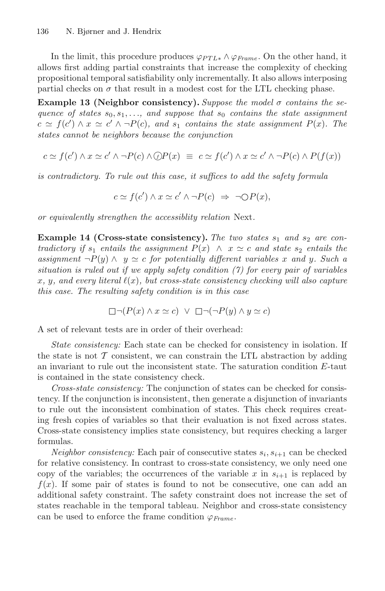In the limit, this procedure produces  $\varphi_{PTL*} \wedge \varphi_{Frame}$ . On the other hand, it allows first adding partial constraints that increase the complexity of checking propositional temporal satisfiability only incrementally. It also allows interposing partial checks on  $\sigma$  that result in a modest cost for the LTL checking phase.

**Example 13 (Neighbor consistency).** Suppose the model  $\sigma$  contains the sequence of states  $s_0, s_1, \ldots$ , and suppose that  $s_0$  contains the state assignment  $c \simeq f(c') \wedge x \simeq c' \wedge \neg P(c)$ , and  $s_1$  contains the state assignment  $P(x)$ . The states cannot be neighbors because the conjunction

$$
c \simeq f(c') \wedge x \simeq c' \wedge \neg P(c) \wedge \textcircled{f}P(x) \equiv c \simeq f(c') \wedge x \simeq c' \wedge \neg P(c) \wedge P(f(x))
$$

is contradictory. To rule out this case, it suffices to add the safety formula

$$
c \simeq f(c') \wedge x \simeq c' \wedge \neg P(c) \Rightarrow \neg \bigcirc P(x),
$$

or equivalently strengthen the accessiblity relation Next.

**Example 14 (Cross-state consistency).** The two states  $s_1$  and  $s_2$  are contradictory if s<sub>1</sub> entails the assignment  $P(x) \wedge x \simeq c$  and state s<sub>2</sub> entails the assignment  $\neg P(y) \wedge y \cong c$  for potentially different variables x and y. Such a situation is ruled out if we apply safety condition (7) for every pair of variables x, y, and every literal  $\ell(x)$ , but cross-state consistency checking will also capture this case. The resulting safety condition is in this case

$$
\Box \neg (P(x) \land x \simeq c) \lor \Box \neg (\neg P(y) \land y \simeq c)
$$

A set of relevant tests are in order of their overhead:

State consistency: Each state can be checked for consistency in isolation. If the state is not  $\mathcal T$  consistent, we can constrain the LTL abstraction by adding an invariant to rule out the inconsistent state. The saturation condition E-taut is contained in the state consistency check.

Cross-state consistency: The conjunction of states can be checked for consistency. If the conjunction is inconsistent, then generate a disjunction of invariants to rule out the inconsistent combination of states. This check requires creating fresh copies of variables so that their evaluation is not fixed across states. Cross-state consistency implies state consistency, but requires checking a larger formulas.

*Neighbor consistency:* Each pair of consecutive states  $s_i, s_{i+1}$  can be checked for relative consistency. In contrast to cross-state consistency, we only need one copy of the variables; the occurrences of the variable x in  $s_{i+1}$  is replaced by  $f(x)$ . If some pair of states is found to not be consecutive, one can add an additional safety constraint. The safety constraint does not increase the set of states reachable in the temporal tableau. Neighbor and cross-state consistency can be used to enforce the frame condition  $\varphi_{Frame}$ .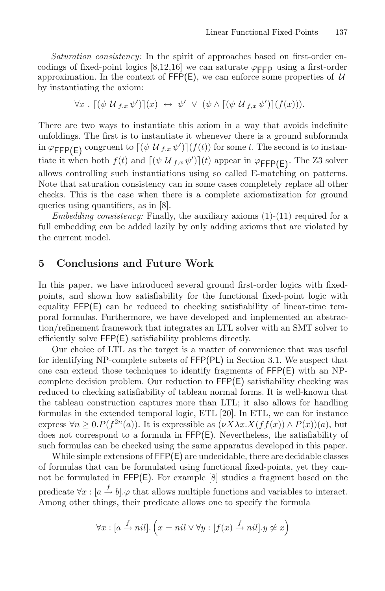Saturation consistency: In the spirit of approaches based on first-order encodings of fixed-point logics [8,12,16] we can saturate  $\varphi$ <sub>FFP</sub> using a first-order approximation. In the context of  $\mathsf{FFP}(E)$ , we can enforce some properties of U by instantiating the axiom:

$$
\forall x \, . \, \left[ (\psi \, \mathcal{U}_{f,x} \, \psi') \right](x) \, \leftrightarrow \, \psi' \, \lor \, (\psi \land \left[ (\psi \, \mathcal{U}_{f,x} \, \psi') \right](f(x))).
$$

There are two ways to instantiate this axiom in a way that avoids indefinite unfoldings. The first is to instantiate it whenever there is a ground subformula in  $\varphi_{\textsf{FFP(E)}}$  congruent to  $[(\psi \mathcal{U}_{f,x} \psi')] (f(t))$  for some t. The second is to instantiate it when both  $f(t)$  and  $[(\psi \mathcal{U}_{f,x} \psi')]$  (t) appear in  $\varphi_{\text{FFP(E)}}$ . The Z3 solver allows controlling such instantiations using so called E-matching on patterns. Note that saturation consistency can in some cases completely replace all other checks. This is the case when there is a complete axiomatization for ground queries using quantifiers, as in [8].

Embedding consistency: Finally, the auxiliary axioms  $(1)-(11)$  required for a full embedding can be added lazily by only adding axioms that are violated by the current model.

### **5 Conclusions and Future Work**

In this paper, we have introduced several ground first-order logics with fixedpoints, and shown how satisfiability for the functional fixed-point logic with equality FFP(E) can be reduced to checking satisfiability of linear-time temporal formulas. Furthermore, we have developed and implemented an abstraction/refinement framework that integrates an LTL solver with an SMT solver to efficiently solve FFP(E) satisfiability problems directly.

Our choice of LTL as the target is a matter of convenience that was useful for identifying NP-complete subsets of FFP(PL) in Section 3.1. We suspect that one can extend those techniques to identify fragments of FFP(E) with an NPcomplete decision problem. Our reduction to FFP(E) satisfiability checking was reduced to checking satisfiability of tableau normal forms. It is well-known that the tableau construction captures more than LTL; it also allows for handling formulas in the extended temporal logic, ETL [20]. In ETL, we can for instance express  $\forall n \geq 0. P(f^{2n}(a))$ . It is expressible as  $(\nu X\lambda x. X(f f(x)) \wedge P(x))(a)$ , but does not correspond to a formula in FFP(E). Nevertheless, the satisfiability of such formulas can be checked using the same apparatus developed in this paper.

While simple extensions of  $\mathsf{FFP}(E)$  are undecidable, there are decidable classes of formulas that can be formulated using functional fixed-points, yet they cannot be formulated in FFP(E). For example [8] studies a fragment based on the predicate  $\forall x : [a \stackrel{f}{\rightarrow} b] \varphi$  that allows multiple functions and variables to interact. Among other things, their predicate allows one to specify the formula

$$
\forall x : [a \xrightarrow{f} nil]. \left( x = nil \vee \forall y : [f(x) \xrightarrow{f} nil].y \ncong x \right)
$$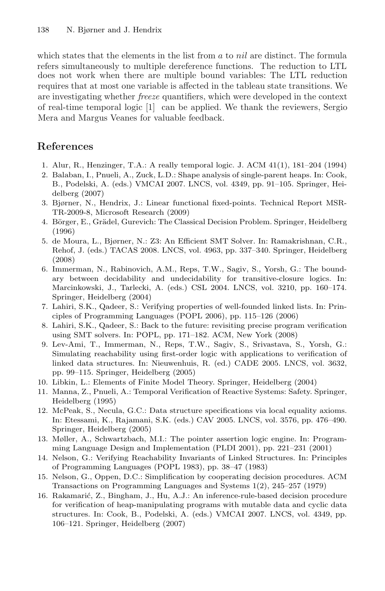which states that the elements in the list from  $a$  to  $nil$  are distinct. The formula refers simultaneously to multiple dereference functions. The reduction to LTL does not work when there are multiple bound variables: The LTL reduction requires that at most one variable is affected in the tableau state transitions. We are investigating whether freeze quantifiers, which were developed in the context of real-time temporal logic [1] can be applied. We thank the reviewers, Sergio Mera and Margus Veanes for valuable feedback.

# **References**

- 1. Alur, R., Henzinger, T.A.: A really temporal logic. J. ACM 41(1), 181–204 (1994)
- 2. Balaban, I., Pnueli, A., Zuck, L.D.: Shape analysis of single-parent heaps. In: Cook, B., Podelski, A. (eds.) VMCAI 2007. LNCS, vol. 4349, pp. 91–105. Springer, Heidelberg (2007)
- 3. Bjørner, N., Hendrix, J.: Linear functional fixed-points. Technical Report MSR-TR-2009-8, Microsoft Research (2009)
- 4. Börger, E., Grädel, Gurevich: The Classical Decision Problem. Springer, Heidelberg (1996)
- 5. de Moura, L., Bjørner, N.: Z3: An Efficient SMT Solver. In: Ramakrishnan, C.R., Rehof, J. (eds.) TACAS 2008. LNCS, vol. 4963, pp. 337–340. Springer, Heidelberg (2008)
- 6. Immerman, N., Rabinovich, A.M., Reps, T.W., Sagiv, S., Yorsh, G.: The boundary between decidability and undecidability for transitive-closure logics. In: Marcinkowski, J., Tarlecki, A. (eds.) CSL 2004. LNCS, vol. 3210, pp. 160–174. Springer, Heidelberg (2004)
- 7. Lahiri, S.K., Qadeer, S.: Verifying properties of well-founded linked lists. In: Principles of Programming Languages (POPL 2006), pp. 115–126 (2006)
- 8. Lahiri, S.K., Qadeer, S.: Back to the future: revisiting precise program verification using SMT solvers. In: POPL, pp. 171–182. ACM, New York (2008)
- 9. Lev-Ami, T., Immerman, N., Reps, T.W., Sagiv, S., Srivastava, S., Yorsh, G.: Simulating reachability using first-order logic with applications to verification of linked data structures. In: Nieuwenhuis, R. (ed.) CADE 2005. LNCS, vol. 3632, pp. 99–115. Springer, Heidelberg (2005)
- 10. Libkin, L.: Elements of Finite Model Theory. Springer, Heidelberg (2004)
- 11. Manna, Z., Pnueli, A.: Temporal Verification of Reactive Systems: Safety. Springer, Heidelberg (1995)
- 12. McPeak, S., Necula, G.C.: Data structure specifications via local equality axioms. In: Etessami, K., Rajamani, S.K. (eds.) CAV 2005. LNCS, vol. 3576, pp. 476–490. Springer, Heidelberg (2005)
- 13. Møller, A., Schwartzbach, M.I.: The pointer assertion logic engine. In: Programming Language Design and Implementation (PLDI 2001), pp. 221–231 (2001)
- 14. Nelson, G.: Verifying Reachability Invariants of Linked Structures. In: Principles of Programming Languages (POPL 1983), pp. 38–47 (1983)
- 15. Nelson, G., Oppen, D.C.: Simplification by cooperating decision procedures. ACM Transactions on Programming Languages and Systems 1(2), 245–257 (1979)
- 16. Rakamarić, Z., Bingham, J., Hu, A.J.: An inference-rule-based decision procedure for verification of heap-manipulating programs with mutable data and cyclic data structures. In: Cook, B., Podelski, A. (eds.) VMCAI 2007. LNCS, vol. 4349, pp. 106–121. Springer, Heidelberg (2007)